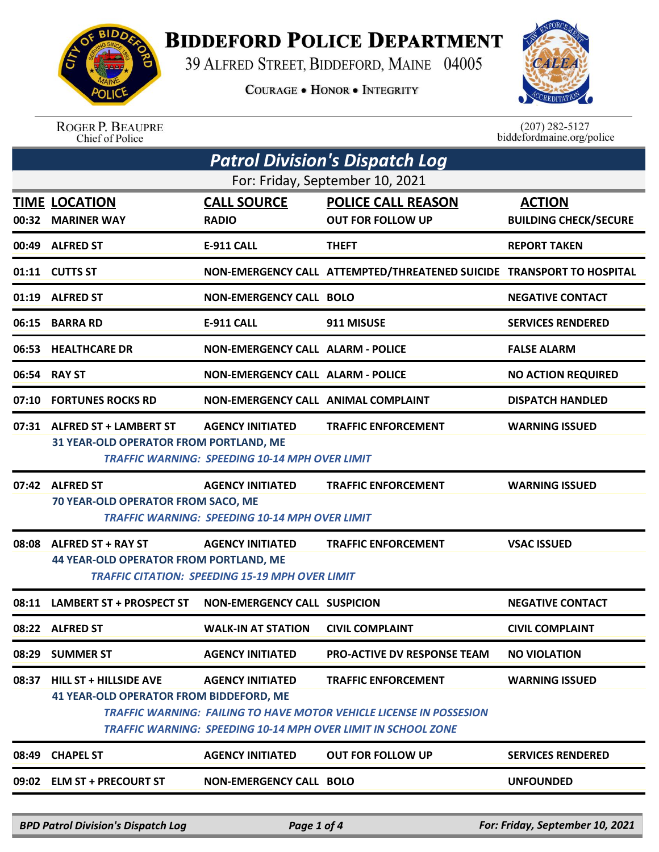

## **BIDDEFORD POLICE DEPARTMENT**

39 ALFRED STREET, BIDDEFORD, MAINE 04005

**COURAGE . HONOR . INTEGRITY** 



ROGER P. BEAUPRE<br>Chief of Police

 $(207)$  282-5127<br>biddefordmaine.org/police

| <b>Patrol Division's Dispatch Log</b> |                                                                                                                                                    |                                                       |                                                                       |                              |  |  |
|---------------------------------------|----------------------------------------------------------------------------------------------------------------------------------------------------|-------------------------------------------------------|-----------------------------------------------------------------------|------------------------------|--|--|
| For: Friday, September 10, 2021       |                                                                                                                                                    |                                                       |                                                                       |                              |  |  |
|                                       | <b>TIME LOCATION</b>                                                                                                                               | <b>CALL SOURCE</b>                                    | <b>POLICE CALL REASON</b>                                             | <b>ACTION</b>                |  |  |
|                                       | 00:32 MARINER WAY                                                                                                                                  | <b>RADIO</b>                                          | <b>OUT FOR FOLLOW UP</b>                                              | <b>BUILDING CHECK/SECURE</b> |  |  |
|                                       | 00:49 ALFRED ST                                                                                                                                    | <b>E-911 CALL</b>                                     | <b>THEFT</b>                                                          | <b>REPORT TAKEN</b>          |  |  |
|                                       | 01:11 CUTTS ST                                                                                                                                     |                                                       | NON-EMERGENCY CALL ATTEMPTED/THREATENED SUICIDE TRANSPORT TO HOSPITAL |                              |  |  |
|                                       | 01:19 ALFRED ST                                                                                                                                    | <b>NON-EMERGENCY CALL BOLO</b>                        |                                                                       | <b>NEGATIVE CONTACT</b>      |  |  |
| 06:15                                 | <b>BARRA RD</b>                                                                                                                                    | <b>E-911 CALL</b>                                     | 911 MISUSE                                                            | <b>SERVICES RENDERED</b>     |  |  |
|                                       | 06:53 HEALTHCARE DR                                                                                                                                | <b>NON-EMERGENCY CALL ALARM - POLICE</b>              |                                                                       | <b>FALSE ALARM</b>           |  |  |
| 06:54                                 | <b>RAY ST</b>                                                                                                                                      | <b>NON-EMERGENCY CALL ALARM - POLICE</b>              |                                                                       | <b>NO ACTION REQUIRED</b>    |  |  |
| 07:10                                 | <b>FORTUNES ROCKS RD</b>                                                                                                                           | NON-EMERGENCY CALL ANIMAL COMPLAINT                   |                                                                       | <b>DISPATCH HANDLED</b>      |  |  |
|                                       | 07:31 ALFRED ST + LAMBERT ST                                                                                                                       | <b>AGENCY INITIATED</b>                               | <b>TRAFFIC ENFORCEMENT</b>                                            | <b>WARNING ISSUED</b>        |  |  |
|                                       | 31 YEAR-OLD OPERATOR FROM PORTLAND, ME                                                                                                             | <b>TRAFFIC WARNING: SPEEDING 10-14 MPH OVER LIMIT</b> |                                                                       |                              |  |  |
|                                       | 07:42 ALFRED ST                                                                                                                                    | <b>AGENCY INITIATED</b>                               | <b>TRAFFIC ENFORCEMENT</b>                                            | <b>WARNING ISSUED</b>        |  |  |
|                                       | 70 YEAR-OLD OPERATOR FROM SACO, ME                                                                                                                 | <b>TRAFFIC WARNING: SPEEDING 10-14 MPH OVER LIMIT</b> |                                                                       |                              |  |  |
| 08:08                                 | <b>ALFRED ST + RAY ST</b>                                                                                                                          | <b>AGENCY INITIATED</b>                               | <b>TRAFFIC ENFORCEMENT</b>                                            | <b>VSAC ISSUED</b>           |  |  |
|                                       | 44 YEAR-OLD OPERATOR FROM PORTLAND, ME<br><b>TRAFFIC CITATION: SPEEDING 15-19 MPH OVER LIMIT</b>                                                   |                                                       |                                                                       |                              |  |  |
| 08:11                                 | <b>LAMBERT ST + PROSPECT ST</b>                                                                                                                    | <b>NON-EMERGENCY CALL SUSPICION</b>                   |                                                                       | <b>NEGATIVE CONTACT</b>      |  |  |
|                                       | 08:22 ALFRED ST                                                                                                                                    | <b>WALK-IN AT STATION</b>                             | <b>CIVIL COMPLAINT</b>                                                | <b>CIVIL COMPLAINT</b>       |  |  |
|                                       | 08:29 SUMMER ST                                                                                                                                    | <b>AGENCY INITIATED</b>                               | <b>PRO-ACTIVE DV RESPONSE TEAM</b>                                    | <b>NO VIOLATION</b>          |  |  |
| 08:37                                 | <b>HILL ST + HILLSIDE AVE</b>                                                                                                                      | <b>AGENCY INITIATED</b>                               | <b>TRAFFIC ENFORCEMENT</b>                                            | <b>WARNING ISSUED</b>        |  |  |
|                                       | <b>41 YEAR-OLD OPERATOR FROM BIDDEFORD, ME</b>                                                                                                     |                                                       |                                                                       |                              |  |  |
|                                       | <b>TRAFFIC WARNING: FAILING TO HAVE MOTOR VEHICLE LICENSE IN POSSESION</b><br><b>TRAFFIC WARNING: SPEEDING 10-14 MPH OVER LIMIT IN SCHOOL ZONE</b> |                                                       |                                                                       |                              |  |  |
| 08:49                                 | <b>CHAPEL ST</b>                                                                                                                                   | <b>AGENCY INITIATED</b>                               | <b>OUT FOR FOLLOW UP</b>                                              | <b>SERVICES RENDERED</b>     |  |  |
|                                       | 09:02 ELM ST + PRECOURT ST                                                                                                                         | <b>NON-EMERGENCY CALL BOLO</b>                        |                                                                       | <b>UNFOUNDED</b>             |  |  |
|                                       |                                                                                                                                                    |                                                       |                                                                       |                              |  |  |

*BPD Patrol Division's Dispatch Log Page 1 of 4 For: Friday, September 10, 2021*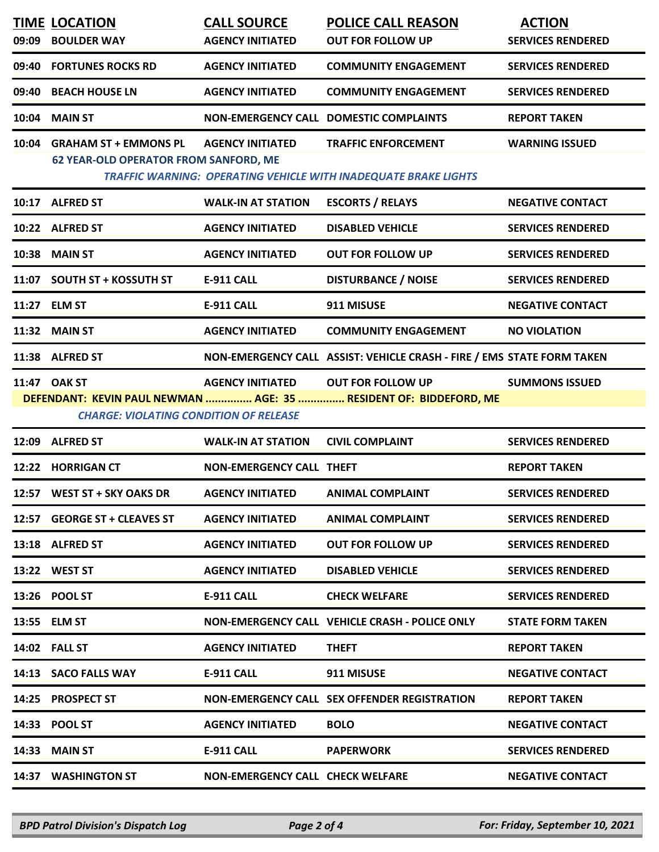| 09:09 | <b>TIME LOCATION</b><br><b>BOULDER WAY</b>                                  | <b>CALL SOURCE</b><br><b>AGENCY INITIATED</b> | <b>POLICE CALL REASON</b><br><b>OUT FOR FOLLOW UP</b>                                                | <b>ACTION</b><br><b>SERVICES RENDERED</b> |
|-------|-----------------------------------------------------------------------------|-----------------------------------------------|------------------------------------------------------------------------------------------------------|-------------------------------------------|
| 09:40 | <b>FORTUNES ROCKS RD</b>                                                    | <b>AGENCY INITIATED</b>                       | <b>COMMUNITY ENGAGEMENT</b>                                                                          | <b>SERVICES RENDERED</b>                  |
| 09:40 | <b>BEACH HOUSE LN</b>                                                       | <b>AGENCY INITIATED</b>                       | <b>COMMUNITY ENGAGEMENT</b>                                                                          | <b>SERVICES RENDERED</b>                  |
| 10:04 | <b>MAIN ST</b>                                                              |                                               | <b>NON-EMERGENCY CALL DOMESTIC COMPLAINTS</b>                                                        | <b>REPORT TAKEN</b>                       |
|       | 10:04 GRAHAM ST + EMMONS PL<br><b>62 YEAR-OLD OPERATOR FROM SANFORD, ME</b> | <b>AGENCY INITIATED</b>                       | <b>TRAFFIC ENFORCEMENT</b><br><b>TRAFFIC WARNING: OPERATING VEHICLE WITH INADEQUATE BRAKE LIGHTS</b> | <b>WARNING ISSUED</b>                     |
|       | 10:17 ALFRED ST                                                             | <b>WALK-IN AT STATION</b>                     | <b>ESCORTS / RELAYS</b>                                                                              | <b>NEGATIVE CONTACT</b>                   |
|       | 10:22 ALFRED ST                                                             | <b>AGENCY INITIATED</b>                       | <b>DISABLED VEHICLE</b>                                                                              | <b>SERVICES RENDERED</b>                  |
|       | 10:38 MAIN ST                                                               | <b>AGENCY INITIATED</b>                       | <b>OUT FOR FOLLOW UP</b>                                                                             | <b>SERVICES RENDERED</b>                  |
|       | 11:07 SOUTH ST + KOSSUTH ST                                                 | <b>E-911 CALL</b>                             | <b>DISTURBANCE / NOISE</b>                                                                           | <b>SERVICES RENDERED</b>                  |
|       | 11:27 ELM ST                                                                | E-911 CALL                                    | 911 MISUSE                                                                                           | <b>NEGATIVE CONTACT</b>                   |
|       | 11:32 MAIN ST                                                               | <b>AGENCY INITIATED</b>                       | <b>COMMUNITY ENGAGEMENT</b>                                                                          | <b>NO VIOLATION</b>                       |
|       | 11:38 ALFRED ST                                                             |                                               | NON-EMERGENCY CALL ASSIST: VEHICLE CRASH - FIRE / EMS STATE FORM TAKEN                               |                                           |
|       | 11:47 OAK ST<br><b>CHARGE: VIOLATING CONDITION OF RELEASE</b>               | <b>AGENCY INITIATED</b>                       | <b>OUT FOR FOLLOW UP</b><br>DEFENDANT: KEVIN PAUL NEWMAN  AGE: 35  RESIDENT OF: BIDDEFORD, ME        | <b>SUMMONS ISSUED</b>                     |
|       | 12:09 ALFRED ST                                                             | <b>WALK-IN AT STATION</b>                     | <b>CIVIL COMPLAINT</b>                                                                               | <b>SERVICES RENDERED</b>                  |
|       | 12:22 HORRIGAN CT                                                           | <b>NON-EMERGENCY CALL THEFT</b>               |                                                                                                      | <b>REPORT TAKEN</b>                       |
|       | 12:57 WEST ST + SKY OAKS DR                                                 | <b>AGENCY INITIATED</b>                       | <b>ANIMAL COMPLAINT</b>                                                                              | <b>SERVICES RENDERED</b>                  |
|       | 12:57 GEORGE ST + CLEAVES ST                                                | <b>AGENCY INITIATED</b>                       | <b>ANIMAL COMPLAINT</b>                                                                              | <b>SERVICES RENDERED</b>                  |
|       | 13:18 ALFRED ST                                                             | <b>AGENCY INITIATED</b>                       | <b>OUT FOR FOLLOW UP</b>                                                                             | <b>SERVICES RENDERED</b>                  |
|       | 13:22 WEST ST                                                               | <b>AGENCY INITIATED</b>                       | <b>DISABLED VEHICLE</b>                                                                              | <b>SERVICES RENDERED</b>                  |
|       | 13:26 POOL ST                                                               | E-911 CALL                                    | <b>CHECK WELFARE</b>                                                                                 | <b>SERVICES RENDERED</b>                  |
|       | 13:55 ELM ST                                                                |                                               | NON-EMERGENCY CALL VEHICLE CRASH - POLICE ONLY                                                       | <b>STATE FORM TAKEN</b>                   |
|       | 14:02 FALL ST                                                               | <b>AGENCY INITIATED</b>                       | <b>THEFT</b>                                                                                         | <b>REPORT TAKEN</b>                       |
|       | 14:13 SACO FALLS WAY                                                        | E-911 CALL                                    | 911 MISUSE                                                                                           | <b>NEGATIVE CONTACT</b>                   |
|       | 14:25 PROSPECT ST                                                           |                                               | NON-EMERGENCY CALL SEX OFFENDER REGISTRATION                                                         | <b>REPORT TAKEN</b>                       |
|       | 14:33 POOL ST                                                               | <b>AGENCY INITIATED</b>                       | <b>BOLO</b>                                                                                          | <b>NEGATIVE CONTACT</b>                   |
| 14:33 | <b>MAIN ST</b>                                                              | <b>E-911 CALL</b>                             | <b>PAPERWORK</b>                                                                                     | <b>SERVICES RENDERED</b>                  |
|       | 14:37 WASHINGTON ST                                                         | NON-EMERGENCY CALL CHECK WELFARE              |                                                                                                      | <b>NEGATIVE CONTACT</b>                   |
|       |                                                                             |                                               |                                                                                                      |                                           |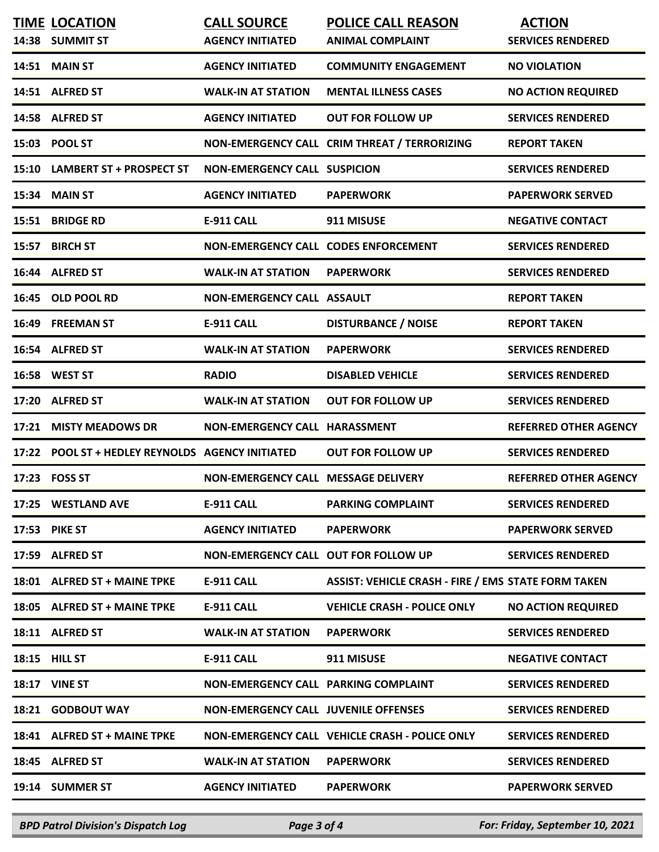| <b>TIME LOCATION</b>                             | <b>CALL SOURCE</b>                          | <b>POLICE CALL REASON</b>                                  | <b>ACTION</b>                |
|--------------------------------------------------|---------------------------------------------|------------------------------------------------------------|------------------------------|
| 14:38 SUMMIT ST                                  | <b>AGENCY INITIATED</b>                     | <b>ANIMAL COMPLAINT</b>                                    | <b>SERVICES RENDERED</b>     |
| 14:51 MAIN ST                                    | <b>AGENCY INITIATED</b>                     | <b>COMMUNITY ENGAGEMENT</b>                                | <b>NO VIOLATION</b>          |
| 14:51 ALFRED ST                                  | <b>WALK-IN AT STATION</b>                   | <b>MENTAL ILLNESS CASES</b>                                | <b>NO ACTION REQUIRED</b>    |
| 14:58 ALFRED ST                                  | <b>AGENCY INITIATED</b>                     | <b>OUT FOR FOLLOW UP</b>                                   | <b>SERVICES RENDERED</b>     |
| 15:03 POOL ST                                    |                                             | NON-EMERGENCY CALL CRIM THREAT / TERRORIZING               | <b>REPORT TAKEN</b>          |
| 15:10 LAMBERT ST + PROSPECT ST                   | <b>NON-EMERGENCY CALL SUSPICION</b>         |                                                            | <b>SERVICES RENDERED</b>     |
| 15:34 MAIN ST                                    | <b>AGENCY INITIATED</b>                     | <b>PAPERWORK</b>                                           | <b>PAPERWORK SERVED</b>      |
| 15:51 BRIDGE RD                                  | <b>E-911 CALL</b>                           | 911 MISUSE                                                 | <b>NEGATIVE CONTACT</b>      |
| 15:57 BIRCH ST                                   | NON-EMERGENCY CALL CODES ENFORCEMENT        |                                                            | <b>SERVICES RENDERED</b>     |
| 16:44 ALFRED ST                                  | <b>WALK-IN AT STATION</b>                   | <b>PAPERWORK</b>                                           | <b>SERVICES RENDERED</b>     |
| 16:45 OLD POOL RD                                | <b>NON-EMERGENCY CALL ASSAULT</b>           |                                                            | <b>REPORT TAKEN</b>          |
| 16:49 FREEMAN ST                                 | <b>E-911 CALL</b>                           | <b>DISTURBANCE / NOISE</b>                                 | <b>REPORT TAKEN</b>          |
| 16:54 ALFRED ST                                  | <b>WALK-IN AT STATION</b>                   | <b>PAPERWORK</b>                                           | <b>SERVICES RENDERED</b>     |
| 16:58 WEST ST                                    | <b>RADIO</b>                                | <b>DISABLED VEHICLE</b>                                    | <b>SERVICES RENDERED</b>     |
| 17:20 ALFRED ST                                  | <b>WALK-IN AT STATION</b>                   | <b>OUT FOR FOLLOW UP</b>                                   | <b>SERVICES RENDERED</b>     |
| 17:21 MISTY MEADOWS DR                           | NON-EMERGENCY CALL HARASSMENT               |                                                            | <b>REFERRED OTHER AGENCY</b> |
| 17:22 POOL ST + HEDLEY REYNOLDS AGENCY INITIATED |                                             | <b>OUT FOR FOLLOW UP</b>                                   | <b>SERVICES RENDERED</b>     |
| 17:23 FOSS ST                                    | NON-EMERGENCY CALL MESSAGE DELIVERY         |                                                            | <b>REFERRED OTHER AGENCY</b> |
| 17:25 WESTLAND AVE                               | E-911 CALL                                  | <b>PARKING COMPLAINT</b>                                   | <b>SERVICES RENDERED</b>     |
| 17:53 PIKE ST                                    | <b>AGENCY INITIATED</b>                     | <b>PAPERWORK</b>                                           | <b>PAPERWORK SERVED</b>      |
| 17:59 ALFRED ST                                  | NON-EMERGENCY CALL OUT FOR FOLLOW UP        |                                                            | <b>SERVICES RENDERED</b>     |
| 18:01 ALFRED ST + MAINE TPKE                     | E-911 CALL                                  | <b>ASSIST: VEHICLE CRASH - FIRE / EMS STATE FORM TAKEN</b> |                              |
| 18:05 ALFRED ST + MAINE TPKE                     | E-911 CALL                                  | <b>VEHICLE CRASH - POLICE ONLY</b>                         | <b>NO ACTION REQUIRED</b>    |
| 18:11 ALFRED ST                                  | <b>WALK-IN AT STATION</b>                   | <b>PAPERWORK</b>                                           | <b>SERVICES RENDERED</b>     |
| 18:15 HILL ST                                    | E-911 CALL                                  | 911 MISUSE                                                 | <b>NEGATIVE CONTACT</b>      |
| <b>18:17 VINE ST</b>                             | NON-EMERGENCY CALL PARKING COMPLAINT        |                                                            | <b>SERVICES RENDERED</b>     |
| 18:21 GODBOUT WAY                                | <b>NON-EMERGENCY CALL JUVENILE OFFENSES</b> |                                                            | <b>SERVICES RENDERED</b>     |
| 18:41 ALFRED ST + MAINE TPKE                     |                                             | NON-EMERGENCY CALL VEHICLE CRASH - POLICE ONLY             | <b>SERVICES RENDERED</b>     |
| 18:45 ALFRED ST                                  | <b>WALK-IN AT STATION</b>                   | <b>PAPERWORK</b>                                           | <b>SERVICES RENDERED</b>     |
| 19:14 SUMMER ST                                  | <b>AGENCY INITIATED</b>                     | <b>PAPERWORK</b>                                           | <b>PAPERWORK SERVED</b>      |
|                                                  |                                             |                                                            |                              |

*BPD Patrol Division's Dispatch Log Page 3 of 4 For: Friday, September 10, 2021*